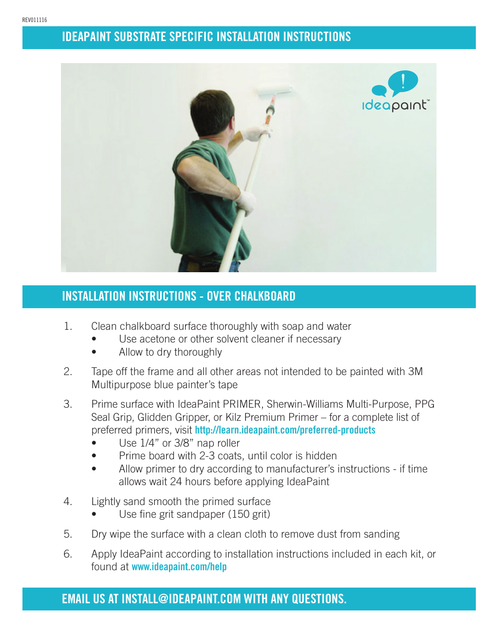

## **INSTALLATION INSTRUCTIONS - OVER CHALKBOARD**

- 1. Clean chalkboard surface thoroughly with soap and water
	- Use acetone or other solvent cleaner if necessary
	- Allow to dry thoroughly
- 2. Tape off the frame and all other areas not intended to be painted with 3M Multipurpose blue painter's tape
- 3. Prime surface with IdeaPaint PRIMER, Sherwin-Williams Multi-Purpose, PPG Seal Grip, Glidden Gripper, or Kilz Premium Primer – for a complete list of preferred primers, visit **http://learn.ideapaint.com/preferred-products**
	- Use  $1/4$ " or  $3/8$ " nap roller
	- Prime board with 2-3 coats, until color is hidden
	- Allow primer to dry according to manufacturer's instructions if time allows wait 24 hours before applying IdeaPaint
- 4. Lightly sand smooth the primed surface
	- Use fine grit sandpaper (150 grit)
- 5. Dry wipe the surface with a clean cloth to remove dust from sanding
- 6. Apply IdeaPaint according to installation instructions included in each kit, or found at **www.ideapaint.com/help**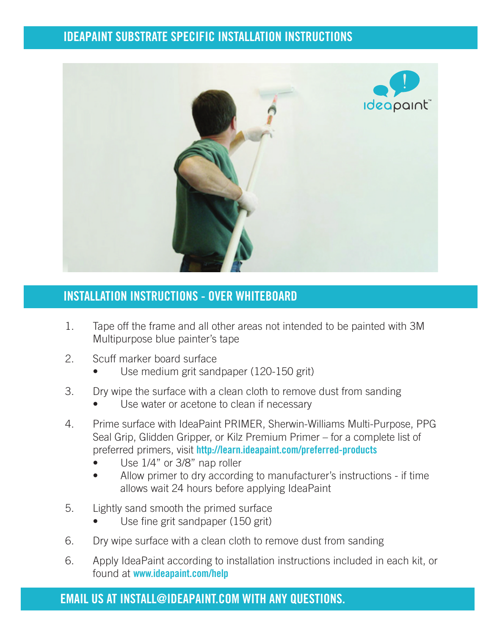

#### **INSTALLATION INSTRUCTIONS - OVER WHITEBOARD**

- 1. Tape off the frame and all other areas not intended to be painted with 3M Multipurpose blue painter's tape
- 2. Scuff marker board surface
	- Use medium grit sandpaper (120-150 grit)
- 3. Dry wipe the surface with a clean cloth to remove dust from sanding
	- Use water or acetone to clean if necessary
- 4. Prime surface with IdeaPaint PRIMER, Sherwin-Williams Multi-Purpose, PPG Seal Grip, Glidden Gripper, or Kilz Premium Primer – for a complete list of preferred primers, visit **http://learn.ideapaint.com/preferred-products**
	- Use  $1/4$ " or 3/8" nap roller
	- Allow primer to dry according to manufacturer's instructions if time allows wait 24 hours before applying IdeaPaint
- 5. Lightly sand smooth the primed surface
	- Use fine grit sandpaper (150 grit)
- 6. Dry wipe surface with a clean cloth to remove dust from sanding
- 6. Apply IdeaPaint according to installation instructions included in each kit, or found at **www.ideapaint.com/help**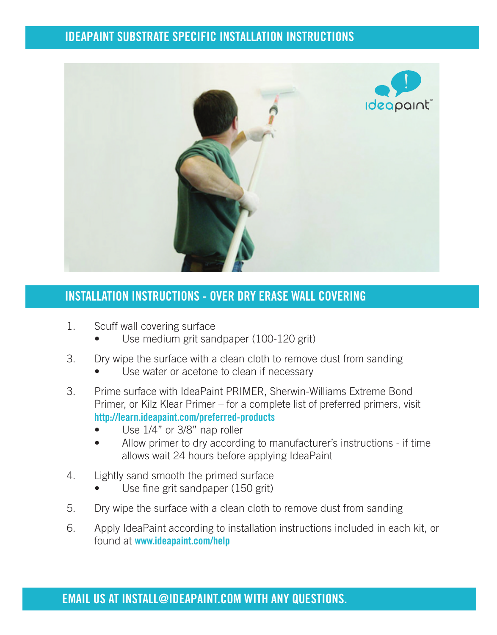

#### **INSTALLATION INSTRUCTIONS - OVER DRY ERASE WALL COVERING**

- 1. Scuff wall covering surface
	- Use medium grit sandpaper (100-120 grit)
- 3. Dry wipe the surface with a clean cloth to remove dust from sanding
	- Use water or acetone to clean if necessary
- 3. Prime surface with IdeaPaint PRIMER, Sherwin-Williams Extreme Bond Primer, or Kilz Klear Primer – for a complete list of preferred primers, visit  **http://learn.ideapaint.com/preferred-products**
	- Use  $1/4$ " or 3/8" nap roller
	- Allow primer to dry according to manufacturer's instructions if time allows wait 24 hours before applying IdeaPaint
- 4. Lightly sand smooth the primed surface
	- Use fine grit sandpaper (150 grit)
- 5. Dry wipe the surface with a clean cloth to remove dust from sanding
- 6. Apply IdeaPaint according to installation instructions included in each kit, or found at **www.ideapaint.com/help**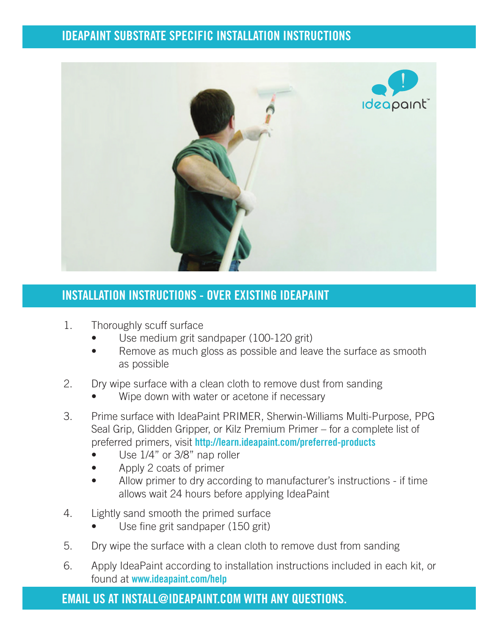

## **INSTALLATION INSTRUCTIONS - OVER EXISTING IDEAPAINT**

- 1. Thoroughly scuff surface
	- Use medium grit sandpaper (100-120 grit)
	- Remove as much gloss as possible and leave the surface as smooth as possible
- 2. Dry wipe surface with a clean cloth to remove dust from sanding
	- Wipe down with water or acetone if necessary
- 3. Prime surface with IdeaPaint PRIMER, Sherwin-Williams Multi-Purpose, PPG Seal Grip, Glidden Gripper, or Kilz Premium Primer – for a complete list of preferred primers, visit **http://learn.ideapaint.com/preferred-products**
	- Use  $1/4$ " or  $3/8$ " nap roller
	- Apply 2 coats of primer
	- Allow primer to dry according to manufacturer's instructions if time allows wait 24 hours before applying IdeaPaint
- 4. Lightly sand smooth the primed surface
	- Use fine grit sandpaper (150 grit)
- 5. Dry wipe the surface with a clean cloth to remove dust from sanding
- 6. Apply IdeaPaint according to installation instructions included in each kit, or found at **www.ideapaint.com/help**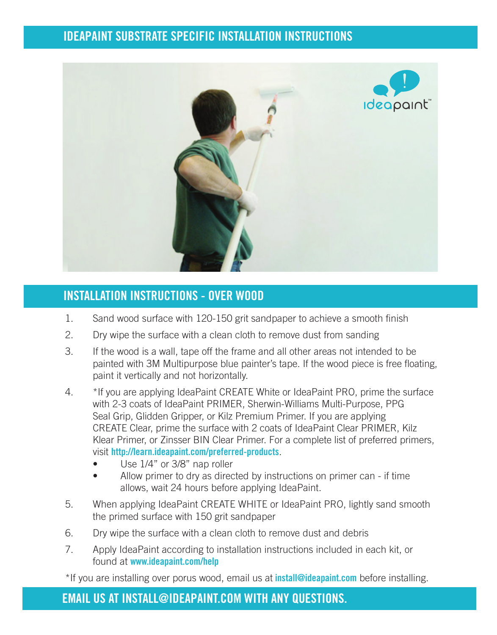

#### **INSTALLATION INSTRUCTIONS - OVER WOOD**

- 1. Sand wood surface with 120-150 grit sandpaper to achieve a smooth finish
- 2. Dry wipe the surface with a clean cloth to remove dust from sanding
- 3. If the wood is a wall, tape off the frame and all other areas not intended to be painted with 3M Multipurpose blue painter's tape. If the wood piece is free floating, paint it vertically and not horizontally.
- 4. \*If you are applying IdeaPaint CREATE White or IdeaPaint PRO, prime the surface with 2-3 coats of IdeaPaint PRIMER, Sherwin-Williams Multi-Purpose, PPG Seal Grip, Glidden Gripper, or Kilz Premium Primer. If you are applying CREATE Clear, prime the surface with 2 coats of IdeaPaint Clear PRIMER, Kilz Klear Primer, or Zinsser BIN Clear Primer. For a complete list of preferred primers, visit **http://learn.ideapaint.com/preferred-products**.
	- Use  $1/4$ " or  $3/8$ " nap roller
	- Allow primer to dry as directed by instructions on primer can if time allows, wait 24 hours before applying IdeaPaint.
- 5. When applying IdeaPaint CREATE WHITE or IdeaPaint PRO, lightly sand smooth the primed surface with 150 grit sandpaper
- 6. Dry wipe the surface with a clean cloth to remove dust and debris
- 7. Apply IdeaPaint according to installation instructions included in each kit, or found at **www.ideapaint.com/help**

\*If you are installing over porus wood, email us at **install@ideapaint.com** before installing.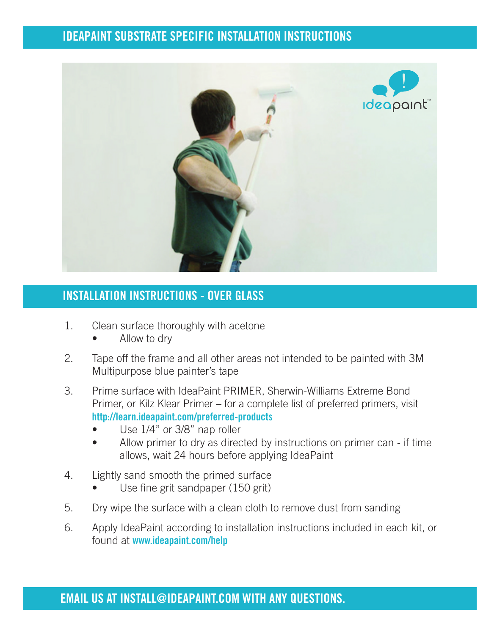

#### **INSTALLATION INSTRUCTIONS - OVER GLASS**

- 1. Clean surface thoroughly with acetone
	- Allow to dry
- 2. Tape off the frame and all other areas not intended to be painted with 3M Multipurpose blue painter's tape
- 3. Prime surface with IdeaPaint PRIMER, Sherwin-Williams Extreme Bond Primer, or Kilz Klear Primer – for a complete list of preferred primers, visit  **http://learn.ideapaint.com/preferred-products**
	- Use  $1/4$ " or 3/8" nap roller
	- Allow primer to dry as directed by instructions on primer can if time allows, wait 24 hours before applying IdeaPaint
- 4. Lightly sand smooth the primed surface
	- Use fine grit sandpaper (150 grit)
- 5. Dry wipe the surface with a clean cloth to remove dust from sanding
- 6. Apply IdeaPaint according to installation instructions included in each kit, or found at **www.ideapaint.com/help**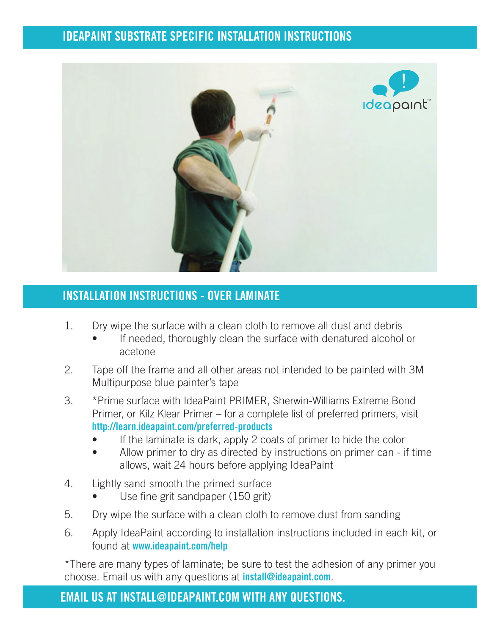

#### **INSTALLATION INSTRUCTIONS - OVER LAMINATE**

- 1. Dry wipe the surface with a clean cloth to remove all dust and debris
	- If needed, thoroughly clean the surface with denatured alcohol or acetone
- 2. Tape off the frame and all other areas not intended to be painted with 3M Multipurpose blue painter's tape
- 3. \*Prime surface with IdeaPaint PRIMER, Sherwin-Williams Extreme Bond Primer, or Kilz Klear Primer – for a complete list of preferred primers, visit  **http://learn.ideapaint.com/preferred-products**
	- If the laminate is dark, apply 2 coats of primer to hide the color
	- Allow primer to dry as directed by instructions on primer can if time allows, wait 24 hours before applying IdeaPaint
- 4. Lightly sand smooth the primed surface
	- Use fine grit sandpaper (150 grit)
- 5. Dry wipe the surface with a clean cloth to remove dust from sanding
- 6. Apply IdeaPaint according to installation instructions included in each kit, or found at **www.ideapaint.com/help**

\*There are many types of laminate; be sure to test the adhesion of any primer you choose. Email us with any questions at **install@ideapaint.com**.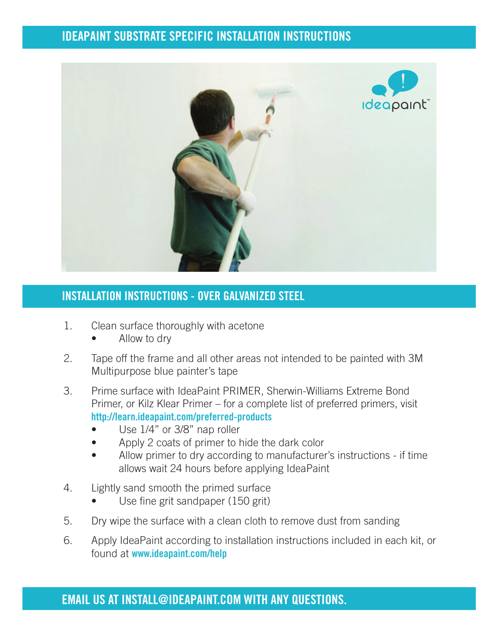

#### **INSTALLATION INSTRUCTIONS - OVER GALVANIZED STEEL**

- 1. Clean surface thoroughly with acetone
	- Allow to dry
- 2. Tape off the frame and all other areas not intended to be painted with 3M Multipurpose blue painter's tape
- 3. Prime surface with IdeaPaint PRIMER, Sherwin-Williams Extreme Bond Primer, or Kilz Klear Primer – for a complete list of preferred primers, visit  **http://learn.ideapaint.com/preferred-products**
	- Use  $1/4$ " or 3/8" nap roller
	- Apply 2 coats of primer to hide the dark color
	- Allow primer to dry according to manufacturer's instructions if time allows wait 24 hours before applying IdeaPaint
- 4. Lightly sand smooth the primed surface
	- Use fine grit sandpaper (150 grit)
- 5. Dry wipe the surface with a clean cloth to remove dust from sanding
- 6. Apply IdeaPaint according to installation instructions included in each kit, or found at **www.ideapaint.com/help**